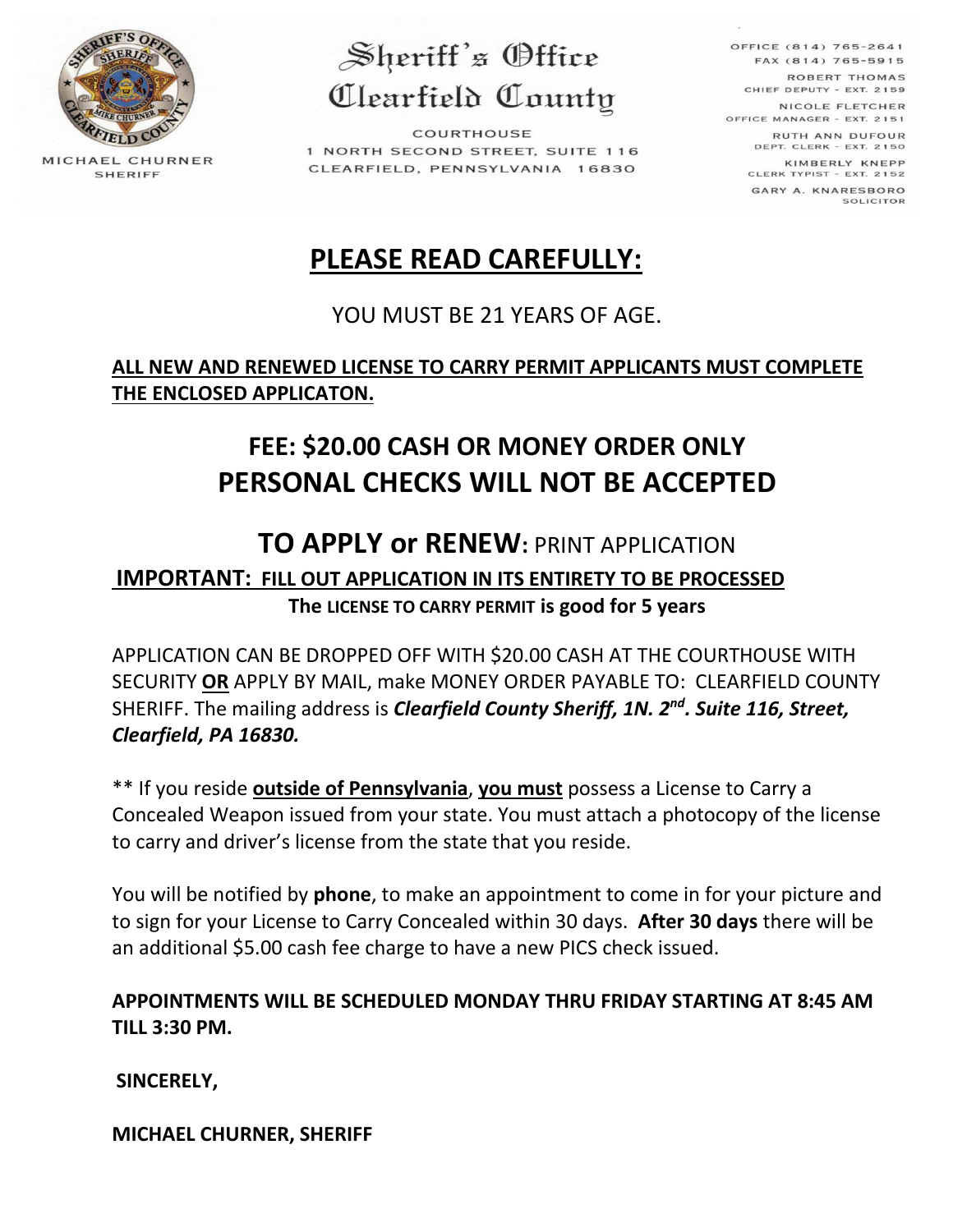

MICHAEL CHURNER **SHERIFF** 

Sheriff's Office Clearfield County

COURTHOUSE 1 NORTH SECOND STREET, SUITE 116 CLEARFIELD, PENNSYLVANIA 16830

OFFICE (814) 765-2641 FAX (814) 765-5915 ROBERT THOMAS CHIEF DEPUTY - EXT. 2159 NICOLE FLETCHER OFFICE MANAGER - EXT. 2151 RUTH ANN DUFOUR DEPT. CLERK - EXT. 2150 KIMBERLY KNEPP CLERK TYPIST - EXT. 2152 GARY A. KNARESBORO SOLICITOR

# **PLEASE READ CAREFULLY:**

## YOU MUST BE 21 YEARS OF AGE.

### **ALL NEW AND RENEWED LICENSE TO CARRY PERMIT APPLICANTS MUST COMPLETE THE ENCLOSED APPLICATON.**

# **FEE: \$20.00 CASH OR MONEY ORDER ONLY PERSONAL CHECKS WILL NOT BE ACCEPTED**

## **TO APPLY or RENEW:** PRINT APPLICATION

**IMPORTANT: FILL OUT APPLICATION IN ITS ENTIRETY TO BE PROCESSED The LICENSE TO CARRY PERMIT is good for 5 years**

APPLICATION CAN BE DROPPED OFF WITH \$20.00 CASH AT THE COURTHOUSE WITH SECURITY **OR** APPLY BY MAIL, make MONEY ORDER PAYABLE TO: CLEARFIELD COUNTY SHERIFF. The mailing address is *Clearfield County Sheriff, 1N. 2nd . Suite 116, Street, Clearfield, PA 16830.* 

\*\* If you reside **outside of Pennsylvania**, **you must** possess a License to Carry a Concealed Weapon issued from your state. You must attach a photocopy of the license to carry and driver's license from the state that you reside.

You will be notified by **phone**, to make an appointment to come in for your picture and to sign for your License to Carry Concealed within 30 days. **After 30 days** there will be an additional \$5.00 cash fee charge to have a new PICS check issued.

### **APPOINTMENTS WILL BE SCHEDULED MONDAY THRU FRIDAY STARTING AT 8:45 AM TILL 3:30 PM.**

**SINCERELY,**

**MICHAEL CHURNER, SHERIFF**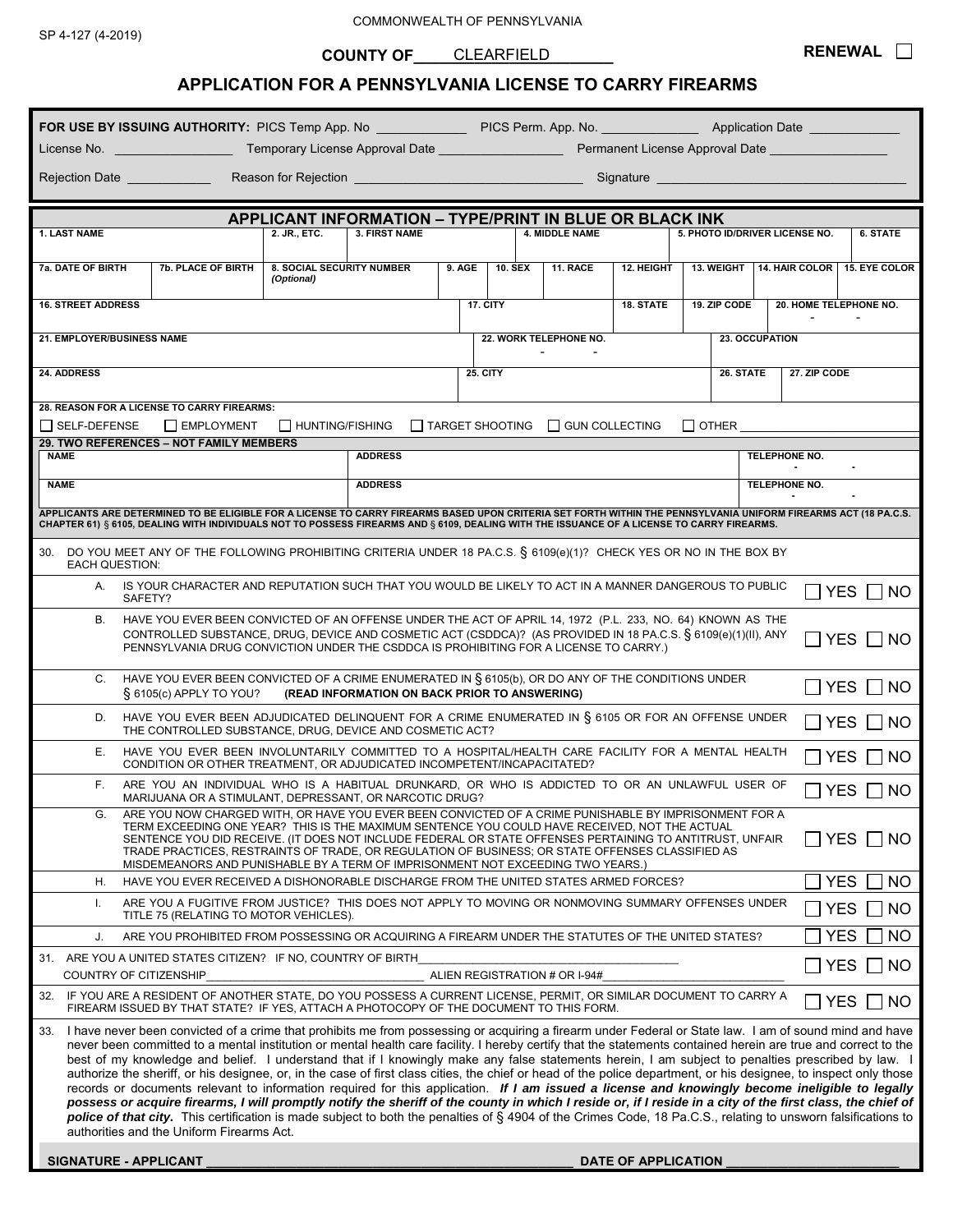COMMONWEALTH OF PENNSYLVANIA

**COUNTY OF\_\_\_\_\_\_\_\_\_\_\_\_\_\_\_\_\_\_\_\_\_\_\_**  CLEARFIELD

### **APPLICATION FOR A PENNSYLVANIA LICENSE TO CARRY FIREARMS**

**RENEWAL**

| FOR USE BY ISSUING AUTHORITY: PICS Temp App. No ________________ PICS Perm. App. No. ______________ Application Date                                                                                                                                                                                                                                                                                                                                                                                                                                                                                                                                                                                                                                                                                                                                                                                                                                                                                                                                                                                                                                                                       |                                                |                                               |          |                                              |                       |            |                                        |                                |           |
|--------------------------------------------------------------------------------------------------------------------------------------------------------------------------------------------------------------------------------------------------------------------------------------------------------------------------------------------------------------------------------------------------------------------------------------------------------------------------------------------------------------------------------------------------------------------------------------------------------------------------------------------------------------------------------------------------------------------------------------------------------------------------------------------------------------------------------------------------------------------------------------------------------------------------------------------------------------------------------------------------------------------------------------------------------------------------------------------------------------------------------------------------------------------------------------------|------------------------------------------------|-----------------------------------------------|----------|----------------------------------------------|-----------------------|------------|----------------------------------------|--------------------------------|-----------|
| License No.                                                                                                                                                                                                                                                                                                                                                                                                                                                                                                                                                                                                                                                                                                                                                                                                                                                                                                                                                                                                                                                                                                                                                                                |                                                |                                               |          |                                              |                       |            |                                        |                                |           |
| Rejection Date <u>New Allen Negeria and Regional</u>                                                                                                                                                                                                                                                                                                                                                                                                                                                                                                                                                                                                                                                                                                                                                                                                                                                                                                                                                                                                                                                                                                                                       |                                                |                                               |          |                                              |                       |            |                                        |                                |           |
| <b>APPLICANT INFORMATION - TYPE/PRINT IN BLUE OR BLACK INK</b>                                                                                                                                                                                                                                                                                                                                                                                                                                                                                                                                                                                                                                                                                                                                                                                                                                                                                                                                                                                                                                                                                                                             |                                                |                                               |          |                                              |                       |            |                                        |                                |           |
| <b>1. LAST NAME</b>                                                                                                                                                                                                                                                                                                                                                                                                                                                                                                                                                                                                                                                                                                                                                                                                                                                                                                                                                                                                                                                                                                                                                                        | 2. JR., ETC.                                   | <b>3. FIRST NAME</b>                          |          |                                              | <b>4. MIDDLE NAME</b> |            |                                        | 5. PHOTO ID/DRIVER LICENSE NO. | 6. STATE  |
| 7a. DATE OF BIRTH<br><b>7b. PLACE OF BIRTH</b>                                                                                                                                                                                                                                                                                                                                                                                                                                                                                                                                                                                                                                                                                                                                                                                                                                                                                                                                                                                                                                                                                                                                             | <b>8. SOCIAL SECURITY NUMBER</b><br>(Optional) |                                               | $9.$ AGE | <b>10. SEX</b>                               | 11. RACE              | 12. HEIGHT | 13. WEIGHT                             | 14. HAIR COLOR   15. EYE COLOR |           |
| <b>16. STREET ADDRESS</b>                                                                                                                                                                                                                                                                                                                                                                                                                                                                                                                                                                                                                                                                                                                                                                                                                                                                                                                                                                                                                                                                                                                                                                  |                                                |                                               |          | 17. CITY                                     |                       | 18. STATE  | 19. ZIP CODE<br>20. HOME TELEPHONE NO. |                                |           |
| 21. EMPLOYER/BUSINESS NAME                                                                                                                                                                                                                                                                                                                                                                                                                                                                                                                                                                                                                                                                                                                                                                                                                                                                                                                                                                                                                                                                                                                                                                 |                                                |                                               |          | 22. WORK TELEPHONE NO.<br>23. OCCUPATION     |                       |            |                                        |                                |           |
| 24. ADDRESS                                                                                                                                                                                                                                                                                                                                                                                                                                                                                                                                                                                                                                                                                                                                                                                                                                                                                                                                                                                                                                                                                                                                                                                |                                                |                                               |          | <b>25. CITY</b><br>26. STATE<br>27. ZIP CODE |                       |            |                                        |                                |           |
| 28. REASON FOR A LICENSE TO CARRY FIREARMS:                                                                                                                                                                                                                                                                                                                                                                                                                                                                                                                                                                                                                                                                                                                                                                                                                                                                                                                                                                                                                                                                                                                                                |                                                |                                               |          |                                              |                       |            |                                        |                                |           |
| $\Box$ HUNTING/FISHING $\Box$ TARGET SHOOTING $\Box$ GUN COLLECTING<br>□ SELF-DEFENSE<br><b>EMPLOYMENT</b><br>$\Box$ other<br>29. TWO REFERENCES - NOT FAMILY MEMBERS                                                                                                                                                                                                                                                                                                                                                                                                                                                                                                                                                                                                                                                                                                                                                                                                                                                                                                                                                                                                                      |                                                |                                               |          |                                              |                       |            |                                        |                                |           |
| <b>NAME</b>                                                                                                                                                                                                                                                                                                                                                                                                                                                                                                                                                                                                                                                                                                                                                                                                                                                                                                                                                                                                                                                                                                                                                                                | <b>ADDRESS</b><br>TELEPHONE NO.                |                                               |          |                                              |                       |            |                                        |                                |           |
| <b>NAME</b>                                                                                                                                                                                                                                                                                                                                                                                                                                                                                                                                                                                                                                                                                                                                                                                                                                                                                                                                                                                                                                                                                                                                                                                |                                                | <b>ADDRESS</b>                                |          |                                              |                       |            |                                        | TELEPHONE NO.                  |           |
| APPLICANTS ARE DETERMINED TO BE ELIGIBLE FOR A LICENSE TO CARRY FIREARMS BASED UPON CRITERIA SET FORTH WITHIN THE PENNSYLVANIA UNIFORM FIREARMS ACT (18 PA.C.S.<br>CHAPTER 61) § 6105, DEALING WITH INDIVIDUALS NOT TO POSSESS FIREARMS AND § 6109, DEALING WITH THE ISSUANCE OF A LICENSE TO CARRY FIREARMS.                                                                                                                                                                                                                                                                                                                                                                                                                                                                                                                                                                                                                                                                                                                                                                                                                                                                              |                                                |                                               |          |                                              |                       |            |                                        |                                |           |
| 30. DO YOU MEET ANY OF THE FOLLOWING PROHIBITING CRITERIA UNDER 18 PA.C.S. § 6109(e)(1)? CHECK YES OR NO IN THE BOX BY<br><b>EACH QUESTION:</b>                                                                                                                                                                                                                                                                                                                                                                                                                                                                                                                                                                                                                                                                                                                                                                                                                                                                                                                                                                                                                                            |                                                |                                               |          |                                              |                       |            |                                        |                                |           |
| A. IS YOUR CHARACTER AND REPUTATION SUCH THAT YOU WOULD BE LIKELY TO ACT IN A MANNER DANGEROUS TO PUBLIC<br>YES     NO<br>SAFETY?                                                                                                                                                                                                                                                                                                                                                                                                                                                                                                                                                                                                                                                                                                                                                                                                                                                                                                                                                                                                                                                          |                                                |                                               |          |                                              |                       |            |                                        |                                |           |
| HAVE YOU EVER BEEN CONVICTED OF AN OFFENSE UNDER THE ACT OF APRIL 14, 1972 (P.L. 233, NO. 64) KNOWN AS THE<br>В.<br>CONTROLLED SUBSTANCE, DRUG, DEVICE AND COSMETIC ACT (CSDDCA)? (AS PROVIDED IN 18 PA.C.S. § 6109(e)(1)(II), ANY<br><b>YES</b><br>I NO<br>PENNSYLVANIA DRUG CONVICTION UNDER THE CSDDCA IS PROHIBITING FOR A LICENSE TO CARRY.)                                                                                                                                                                                                                                                                                                                                                                                                                                                                                                                                                                                                                                                                                                                                                                                                                                          |                                                |                                               |          |                                              |                       |            |                                        |                                |           |
| HAVE YOU EVER BEEN CONVICTED OF A CRIME ENUMERATED IN § 6105(b), OR DO ANY OF THE CONDITIONS UNDER<br>C.<br>$\S$ 6105(c) APPLY TO YOU?                                                                                                                                                                                                                                                                                                                                                                                                                                                                                                                                                                                                                                                                                                                                                                                                                                                                                                                                                                                                                                                     |                                                | (READ INFORMATION ON BACK PRIOR TO ANSWERING) |          |                                              |                       |            |                                        |                                | YES I INO |
| HAVE YOU EVER BEEN ADJUDICATED DELINQUENT FOR A CRIME ENUMERATED IN § 6105 OR FOR AN OFFENSE UNDER<br>D.<br><b>YES</b><br><b>INO</b><br>THE CONTROLLED SUBSTANCE, DRUG, DEVICE AND COSMETIC ACT?                                                                                                                                                                                                                                                                                                                                                                                                                                                                                                                                                                                                                                                                                                                                                                                                                                                                                                                                                                                           |                                                |                                               |          |                                              |                       |            |                                        |                                |           |
| HAVE YOU EVER BEEN INVOLUNTARILY COMMITTED TO A HOSPITAL/HEALTH CARE FACILITY FOR A MENTAL HEALTH<br>Е.<br><b>YES</b><br>NO.<br>CONDITION OR OTHER TREATMENT, OR ADJUDICATED INCOMPETENT/INCAPACITATED?                                                                                                                                                                                                                                                                                                                                                                                                                                                                                                                                                                                                                                                                                                                                                                                                                                                                                                                                                                                    |                                                |                                               |          |                                              |                       |            |                                        |                                |           |
| F.<br>ARE YOU AN INDIVIDUAL WHO IS A HABITUAL DRUNKARD, OR WHO IS ADDICTED TO OR AN UNLAWFUL USER OF<br>YES.<br>NΟ<br>MARIJUANA OR A STIMULANT, DEPRESSANT, OR NARCOTIC DRUG?                                                                                                                                                                                                                                                                                                                                                                                                                                                                                                                                                                                                                                                                                                                                                                                                                                                                                                                                                                                                              |                                                |                                               |          |                                              |                       |            |                                        |                                |           |
| G.<br>ARE YOU NOW CHARGED WITH, OR HAVE YOU EVER BEEN CONVICTED OF A CRIME PUNISHABLE BY IMPRISONMENT FOR A<br>TERM EXCEEDING ONE YEAR? THIS IS THE MAXIMUM SENTENCE YOU COULD HAVE RECEIVED, NOT THE ACTUAL<br>YES.<br>NO.<br>SENTENCE YOU DID RECEIVE. (IT DOES NOT INCLUDE FEDERAL OR STATE OFFENSES PERTAINING TO ANTITRUST, UNFAIR<br>TRADE PRACTICES, RESTRAINTS OF TRADE, OR REGULATION OF BUSINESS; OR STATE OFFENSES CLASSIFIED AS<br>MISDEMEANORS AND PUNISHABLE BY A TERM OF IMPRISONMENT NOT EXCEEDING TWO YEARS.)                                                                                                                                                                                                                                                                                                                                                                                                                                                                                                                                                                                                                                                             |                                                |                                               |          |                                              |                       |            |                                        |                                |           |
| <b>YES</b><br>HAVE YOU EVER RECEIVED A DISHONORABLE DISCHARGE FROM THE UNITED STATES ARMED FORCES?<br>Η.                                                                                                                                                                                                                                                                                                                                                                                                                                                                                                                                                                                                                                                                                                                                                                                                                                                                                                                                                                                                                                                                                   |                                                |                                               |          |                                              |                       |            |                                        |                                | NO        |
| ARE YOU A FUGITIVE FROM JUSTICE? THIS DOES NOT APPLY TO MOVING OR NONMOVING SUMMARY OFFENSES UNDER<br>Ι.<br>TITLE 75 (RELATING TO MOTOR VEHICLES).                                                                                                                                                                                                                                                                                                                                                                                                                                                                                                                                                                                                                                                                                                                                                                                                                                                                                                                                                                                                                                         |                                                |                                               |          |                                              |                       |            | <b>YES</b>                             | <b>NO</b>                      |           |
| ARE YOU PROHIBITED FROM POSSESSING OR ACQUIRING A FIREARM UNDER THE STATUTES OF THE UNITED STATES?<br>J.                                                                                                                                                                                                                                                                                                                                                                                                                                                                                                                                                                                                                                                                                                                                                                                                                                                                                                                                                                                                                                                                                   |                                                |                                               |          |                                              |                       |            |                                        | YES                            | <b>NO</b> |
| 31. ARE YOU A UNITED STATES CITIZEN? IF NO, COUNTRY OF BIRTH<br>COUNTRY OF CITIZENSHIP<br>ALIEN REGISTRATION # OR I-94#                                                                                                                                                                                                                                                                                                                                                                                                                                                                                                                                                                                                                                                                                                                                                                                                                                                                                                                                                                                                                                                                    |                                                |                                               |          |                                              |                       |            |                                        | <b>YES</b>                     | $\Box$ NO |
| IF YOU ARE A RESIDENT OF ANOTHER STATE, DO YOU POSSESS A CURRENT LICENSE, PERMIT, OR SIMILAR DOCUMENT TO CARRY A<br>32.<br>FIREARM ISSUED BY THAT STATE? IF YES, ATTACH A PHOTOCOPY OF THE DOCUMENT TO THIS FORM.                                                                                                                                                                                                                                                                                                                                                                                                                                                                                                                                                                                                                                                                                                                                                                                                                                                                                                                                                                          |                                                |                                               |          |                                              |                       |            |                                        | <b>YES</b>                     | NO.       |
| I have never been convicted of a crime that prohibits me from possessing or acquiring a firearm under Federal or State law. I am of sound mind and have<br>33.<br>never been committed to a mental institution or mental health care facility. I hereby certify that the statements contained herein are true and correct to the<br>best of my knowledge and belief. I understand that if I knowingly make any false statements herein, I am subject to penalties prescribed by law. I<br>authorize the sheriff, or his designee, or, in the case of first class cities, the chief or head of the police department, or his designee, to inspect only those<br>records or documents relevant to information required for this application. If I am issued a license and knowingly become ineligible to legally<br>possess or acquire firearms, I will promptly notify the sheriff of the county in which I reside or, if I reside in a city of the first class, the chief of<br>police of that city. This certification is made subject to both the penalties of § 4904 of the Crimes Code, 18 Pa.C.S., relating to unsworn falsifications to<br>authorities and the Uniform Firearms Act. |                                                |                                               |          |                                              |                       |            |                                        |                                |           |
| SIGNATURE - APPLICANT<br>DATE OF APPLICATION                                                                                                                                                                                                                                                                                                                                                                                                                                                                                                                                                                                                                                                                                                                                                                                                                                                                                                                                                                                                                                                                                                                                               |                                                |                                               |          |                                              |                       |            |                                        |                                |           |